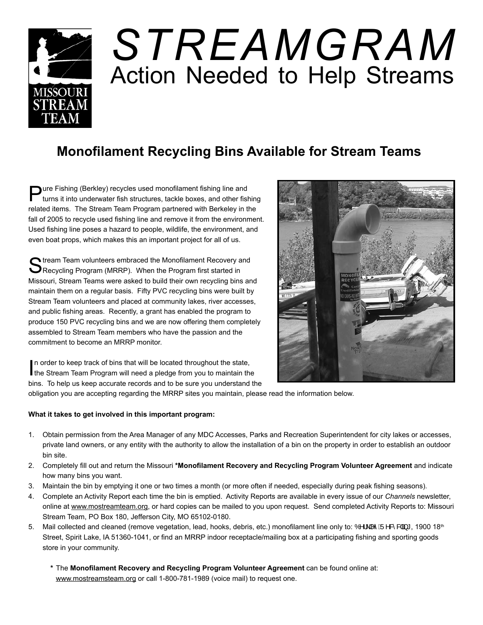

## *STREAMGRAM* Action Needed to Help Streams

## **Monofilament Recycling Bins Available for Stream Teams**

**Pure Fishing (Berkley) recycles used monofilament fishing line and turns it into underwater fish structures, tackle boxes, and other fishing** related items. The Stream Team Program partnered with Berkeley in the fall of 2005 to recycle used fishing line and remove it from the environment. Used fishing line poses a hazard to people, wildlife, the environment, and even boat props, which makes this an important project for all of us.

Stream Team volunteers embraced the Monofilament Recovery and<br>Recycling Program (MRRP). When the Program first started in Missouri, Stream Teams were asked to build their own recycling bins and maintain them on a regular basis. Fifty PVC recycling bins were built by Stream Team volunteers and placed at community lakes, river accesses, and public fishing areas. Recently, a grant has enabled the program to produce 150 PVC recycling bins and we are now offering them completely assembled to Stream Team members who have the passion and the commitment to become an MRRP monitor.



In order to keep track of bins that will be located throughout the state, the Stream Team Program will need a pledge from you to maintain the In order to keep track of bins that will be located throughout the state, bins. To help us keep accurate records and to be sure you understand the

obligation you are accepting regarding the MRRP sites you maintain, please read the information below.

## **What it takes to get involved in this important program:**

- 1. Obtain permission from the Area Manager of any MDC Accesses, Parks and Recreation Superintendent for city lakes or accesses, private land owners, or any entity with the authority to allow the installation of a bin on the property in order to establish an outdoor bin site.
- 2. Completely fill out and return the Missouri **\*Monofilament Recovery and Recycling Program Volunteer Agreement** and indicate how many bins you want.
- 3. Maintain the bin by emptying it one or two times a month (or more often if needed, especially during peak fishing seasons).
- 4. Complete an Activity Report each time the bin is emptied. Activity Reports are available in every issue of our *Channels* newsletter, online at www.mostreamteam.org, or hard copies can be mailed to you upon request. Send completed Activity Reports to: Missouri Stream Team, PO Box 180, Jefferson City, MO 65102-0180.
- 5. Mail collected and cleaned (remove vegetation, lead, hooks, debris, etc.) monofilament line only to:  $\hat{O}$   $\setminus$   $\wedge$   $\hat{A}$  $\hat{B}$   $\wedge$   $\hat{B}$   $\uparrow$ , 1900 18<sup>th</sup> Street, Spirit Lake, IA 51360-1041, or find an MRRP indoor receptacle/mailing box at a participating fishing and sporting goods store in your community.
	- **\*** The **Monofilament Recovery and Recycling Program Volunteer Agreement** can be found online at: www.mostreamsteam.org or call 1-800-781-1989 (voice mail) to request one.